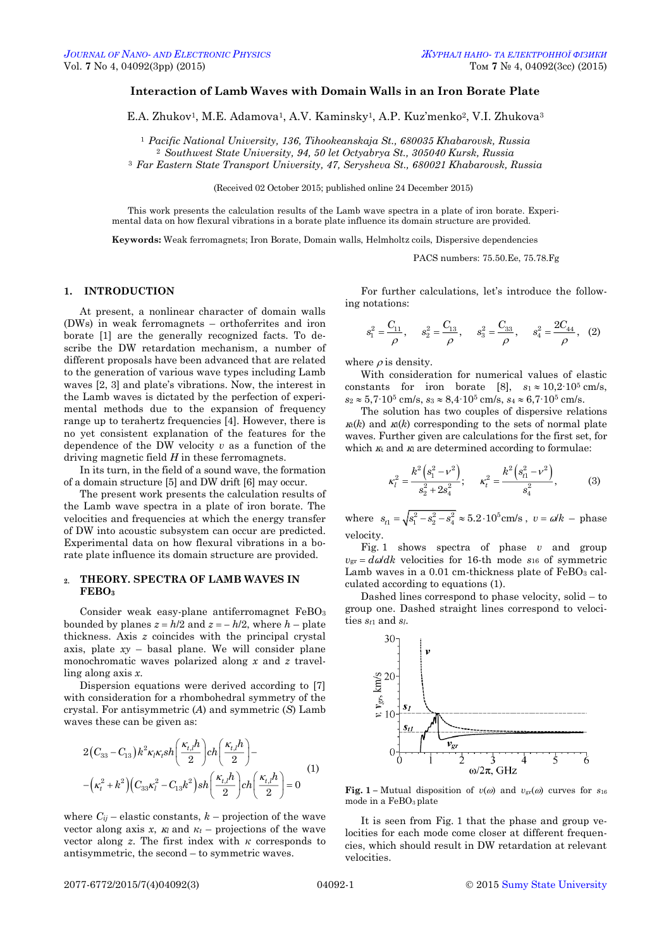# **Interaction of Lamb Waves with Domain Walls in an Iron Borate Plate**

E.A. Zhukov<sup>1</sup>, M.E. Adamova<sup>1</sup>, A.V. Kaminsky<sup>1</sup>, A.P. Kuz'menko<sup>2</sup>, V.I. Zhukova<sup>3</sup>

<sup>1</sup> *Pacific National University, 136, Tihookeanskaja St., 680035 Khabarovsk, Russia*

<sup>2</sup> *Southwest State University, 94, 50 let Octyabrya St., 305040 Kursk, Russia* <sup>3</sup> *Far Eastern State Transport University, 47, Serysheva St., 680021 Khabarovsk, Russia*

(Received 02 October 2015; published online 24 December 2015)

This work presents the calculation results of the Lamb wave spectra in a plate of iron borate. Experimental data on how flexural vibrations in a borate plate influence its domain structure are provided.

**Keywords:** Weak ferromagnets; Iron Borate, Domain walls, Helmholtz coils, Dispersive dependencies

PACS numbers: 75.50.Ee, 75.78.Fg

# **1. INTRODUCTION**

At present, a nonlinear character of domain walls (DWs) in weak ferromagnets – orthoferrites and iron borate [1] are the generally recognized facts. To describe the DW retardation mechanism, a number of different proposals have been advanced that are related to the generation of various wave types including Lamb waves [2, 3] and plate's vibrations. Now, the interest in the Lamb waves is dictated by the perfection of experimental methods due to the expansion of frequency range up to terahertz frequencies [4]. However, there is no yet consistent explanation of the features for the dependence of the DW velocity *v* as a function of the driving magnetic field *H* in these ferromagnets.

In its turn, in the field of a sound wave, the formation of a domain structure [5] and DW drift [6] may occur.

The present work presents the calculation results of the Lamb wave spectra in a plate of iron borate. The velocities and frequencies at which the energy transfer of DW into acoustic subsystem can occur are predicted. Experimental data on how flexural vibrations in a borate plate influence its domain structure are provided.

### **2. THEORY. SPECTRA OF LAMB WAVES IN FEBО<sup>3</sup>**

Consider weak easy-plane antiferromagnet FeBO<sub>3</sub> bounded by planes  $z = h/2$  and  $z = -h/2$ , where  $h$  – plate thickness. Axis *z* coincides with the principal crystal axis, plate  $xy$  – basal plane. We will consider plane monochromatic waves polarized along *x* and *z* travelling along axis *x*.

Dispersion equations were derived according to [7] with consideration for a rhombohedral symmetry of the crystal. For antisymmetric (*A*) and symmetric (*S*) Lamb waves these can be given as:

$$
2(C_{33} - C_{13})k^{2}\kappa_{l}\kappa_{l}sh\left(\frac{\kappa_{l,l}h}{2}\right)ch\left(\frac{\kappa_{l,l}h}{2}\right) - (\kappa_{l}^{2} + k^{2})(C_{33}\kappa_{l}^{2} - C_{13}k^{2})sh\left(\frac{\kappa_{l,l}h}{2}\right)ch\left(\frac{\kappa_{l,l}h}{2}\right) = 0
$$
\n(1)

<span id="page-0-3"></span><span id="page-0-2"></span><span id="page-0-1"></span><span id="page-0-0"></span>where  $C_{ij}$  – elastic constants,  $k$  – projection of the wave vector along axis *x*,  $K_l$  and  $K_t$  – projections of the wave vector along *z*. The first index with *κ* corresponds to antisymmetric, the second – to symmetric waves.

For further calculations, let's introduce the following notations:

$$
s_1^2 = \frac{C_{11}}{\rho}, \quad s_2^2 = \frac{C_{13}}{\rho}, \quad s_3^2 = \frac{C_{33}}{\rho}, \quad s_4^2 = \frac{2C_{44}}{\rho}, \quad (2)
$$

where  $\rho$  is density.

With consideration for numerical values of elastic constants for iron borate [8],  $s_1 \approx 10,2 \cdot 10^5$  cm/s, *s*<sub>2</sub>  $\approx$  5,7⋅10<sup>5</sup> cm/s, *s*<sub>3</sub>  $\approx$  8,4⋅10<sup>5</sup> cm/s, *s*<sub>4</sub>  $\approx$  6,7⋅10<sup>5</sup> cm/s.

The solution has two couples of dispersive relations  $\kappa_k(k)$  and  $\kappa_l(k)$  corresponding to the sets of normal plate waves. Further given are calculations for the first set, for which  $\kappa$  and  $\kappa$  are determined according to formulae:

$$
\kappa_l^2 = \frac{k^2 \left(s_1^2 - v^2\right)}{s_2^2 + 2s_4^2}; \qquad \kappa_l^2 = \frac{k^2 \left(s_{l1}^2 - v^2\right)}{s_4^2},\tag{3}
$$

where  $s_{t1} = \sqrt{s_1^2 - s_2^2 - s_4^2} \approx 5.2 \cdot 10^5$  cm/s,  $v = \omega/k$  – phase velocity.

Fig. 1 shows spectra of phase *v* and group  $v_{\text{gr}} = d\omega/dk$  velocities for 16-th mode *s*<sub>16</sub> of symmetric Lamb waves in a  $0.01$  cm-thickness plate of  $FeBO<sub>3</sub>$  calculated according to equations (1).

Dashed lines correspond to phase velocity, solid – to group one. Dashed straight lines correspond to velocities *st*<sup>1</sup> and *sl*.



**Fig.** 1 – Mutual disposition of  $v(\omega)$  and  $v_{gr}(\omega)$  curves for  $s_{16}$ mode in a FeBO3 plate

It is seen from Fig. 1 that the phase and group velocities for each mode come closer at different frequencies, which should result in DW retardation at relevant velocities.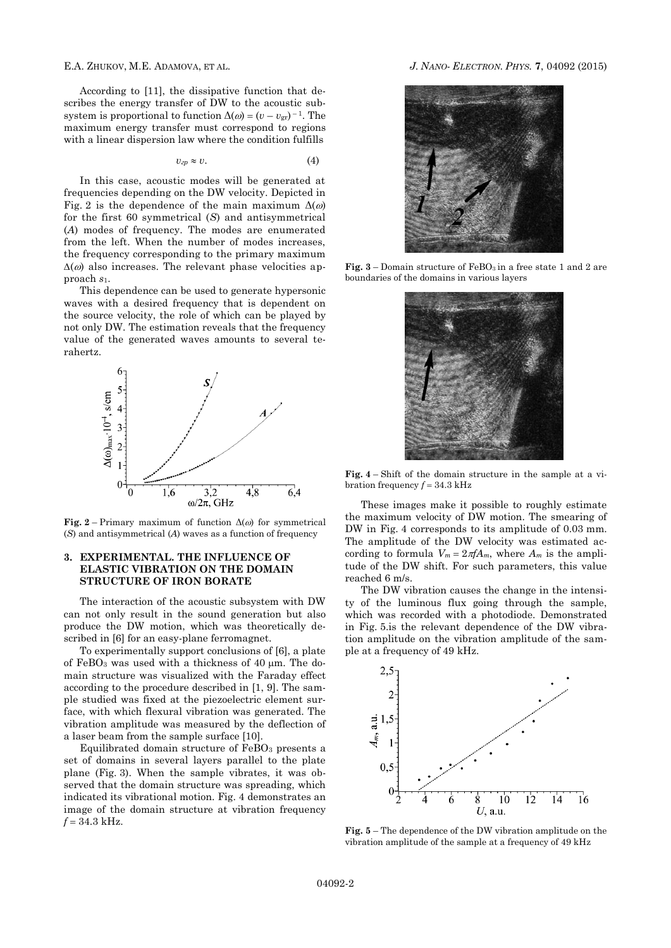According to [11], the dissipative function that describes the energy transfer of DW to the acoustic subsystem is proportional to function  $\Delta(\omega) = (v - v_{gr})^{-1}$ . The maximum energy transfer must correspond to regions with a linear dispersion law where the condition fulfills

$$
v_{\rm zp} \approx v. \tag{4}
$$

In this case, acoustic modes will be generated at frequencies depending on the DW velocity. Depicted in Fig. 2 is the dependence of the main maximum  $\Delta(\omega)$ for the first 60 symmetrical (*S*) and antisymmetrical (*A*) modes of frequency. The modes are enumerated from the left. When the number of modes increases, the frequency corresponding to the primary maximum  $\Delta(\omega)$  also increases. The relevant phase velocities approach *s*1.

This dependence can be used to generate hypersonic waves with a desired frequency that is dependent on the source velocity, the role of which can be played by not only DW. The estimation reveals that the frequency value of the generated waves amounts to several terahertz.



**Fig.** 2 – Primary maximum of function  $\Delta(\omega)$  for symmetrical (*S*) and antisymmetrical (*A*) waves as a function of frequency

## **3. EXPERIMENTAL. THE INFLUENCE OF ELASTIC VIBRATION ON THE DOMAIN STRUCTURE OF IRON BORATE**

The interaction of the acoustic subsystem with DW can not only result in the sound generation but also produce the DW motion, which was theoretically described in [6] for an easy-plane ferromagnet.

To experimentally support conclusions of [6], a plate of FeBO<sub>3</sub> was used with a thickness of  $40 \mu m$ . The domain structure was visualized with the Faraday effect according to the procedure described in [1, 9]. The sample studied was fixed at the piezoelectric element surface, with which flexural vibration was generated. The vibration amplitude was measured by the deflection of a laser beam from the sample surface [10].

Equilibrated domain structure of  $FeBO<sub>3</sub>$  presents a set of domains in several layers parallel to the plate plane (Fig. 3). When the sample vibrates, it was observed that the domain structure was spreading, which indicated its vibrational motion. Fig. 4 demonstrates an image of the domain structure at vibration frequency  $f = 34.3$  kHz.

### E.A. ZHUKOV, M.E. ADAMOVA, ET AL. *J. NANO- ELECTRON. PHYS.* **[7](#page-0-2)**, [04092](#page-0-2) [\(2015\)](#page-0-2)



**Fig.**  $3$  – Domain structure of FeBO<sub>3</sub> in a free state 1 and 2 are boundaries of the domains in various layers



**Fig. 4** – Shift of the domain structure in the sample at a vibration frequency  $f = 34.3$  kHz

These images make it possible to roughly estimate the maximum velocity of DW motion. The smearing of DW in Fig. 4 corresponds to its amplitude of 0.03 mm. The amplitude of the DW velocity was estimated according to formula  $V_m = 2\pi f A_m$ , where  $A_m$  is the amplitude of the DW shift. For such parameters, this value reached 6 m/s.

The DW vibration causes the change in the intensity of the luminous flux going through the sample, which was recorded with a photodiode. Demonstrated in Fig. 5.is the relevant dependence of the DW vibration amplitude on the vibration amplitude of the sample at a frequency of 49 kHz.



**Fig. 5** – The dependence of the DW vibration amplitude on the vibration amplitude of the sample at a frequency of 49 kHz